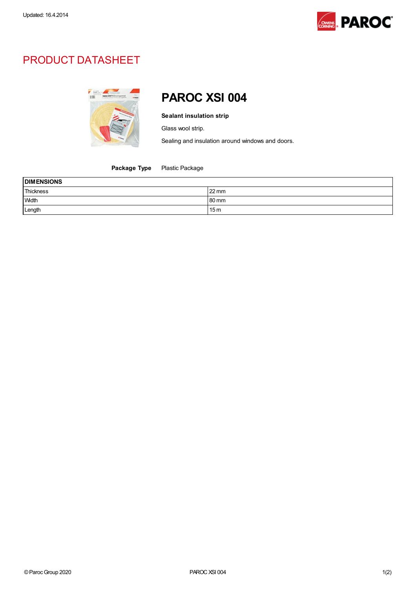

## PRODUCT DATASHEET



## PAROC XSI 004

Sealant insulation strip

Glass wool strip.

Sealing and insulation around windows and doors.

Package Type Plastic Package

| <b>DIMENSIONS</b> |                 |  |
|-------------------|-----------------|--|
| Thickness         | $22 \text{ mm}$ |  |
| Width             | 80 mm           |  |
| Length            | 15 <sub>m</sub> |  |